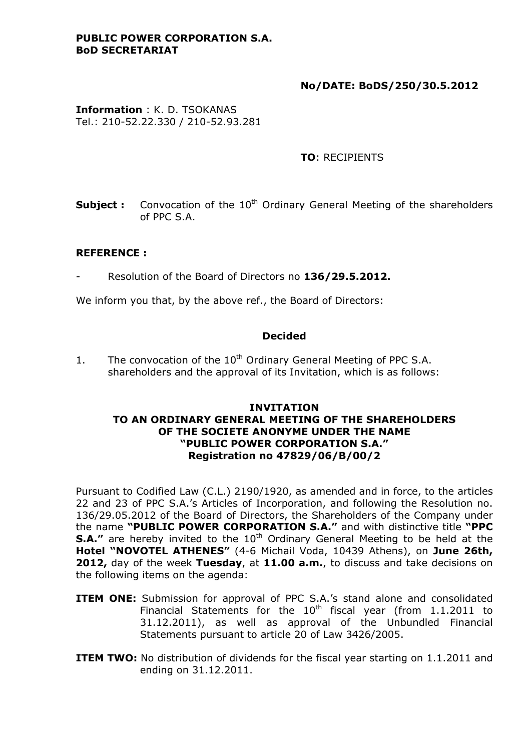## **PUBLIC POWER CORPORATION S.A. BoD SECRETARIAT**

## **No/DATE: BoDS/250/30.5.2012**

**Information** : K. D. TSOKANAS Tel.: 210-52.22.330 / 210-52.93.281

## **TO**: RECIPIENTS

**Subject :** Convocation of the 10<sup>th</sup> Ordinary General Meeting of the shareholders of PPC S.A.

## **REFERENCE :**

- Resolution of the Board of Directors no **136/29.5.2012.** 

We inform you that, by the above ref., the Board of Directors:

## **Decided**

1. The convocation of the  $10<sup>th</sup>$  Ordinary General Meeting of PPC S.A. shareholders and the approval of its Invitation, which is as follows:

## **INVITATION TO AN ORDINARY GENERAL MEETING OF THE SHAREHOLDERS OF THE SOCIETE ANONYME UNDER THE NAME "PUBLIC POWER CORPORATION S.A." Registration no 47829/06/Β/00/2**

Pursuant to Codified Law (C.L.) 2190/1920, as amended and in force, to the articles 22 and 23 of PPC S.A.'s Articles of Incorporation, and following the Resolution no. 136/29.05.2012 of the Board of Directors, the Shareholders of the Company under the name **"PUBLIC POWER CORPORATION S.A."** and with distinctive title **"PPC S.A."** are hereby invited to the 10<sup>th</sup> Ordinary General Meeting to be held at the **Hotel "NOVOTEL ATHENES"** (4-6 Michail Voda, 10439 Athens), on **June 26th, 2012,** day of the week **Tuesday**, at **11.00 a.m.**, to discuss and take decisions on the following items on the agenda:

- **ITEM ONE:** Submission for approval of PPC S.A.'s stand alone and consolidated Financial Statements for the  $10^{th}$  fiscal year (from 1.1.2011 to 31.12.2011), as well as approval of the Unbundled Financial Statements pursuant to article 20 of Law 3426/2005.
- **ITEM TWO:** No distribution of dividends for the fiscal year starting on 1.1.2011 and ending on 31.12.2011.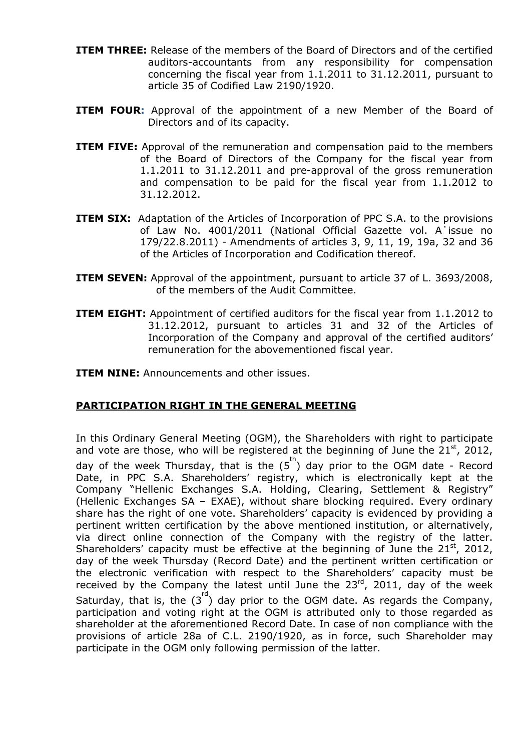- **ITEM THREE:** Release of the members of the Board of Directors and of the certified auditors-accountants from any responsibility for compensation concerning the fiscal year from 1.1.2011 to 31.12.2011, pursuant to article 35 of Codified Law 2190/1920.
- **ITEM FOUR:** Approval of the appointment of a new Member of the Board of Directors and of its capacity.
- **ITEM FIVE:** Approval of the remuneration and compensation paid to the members of the Board of Directors of the Company for the fiscal year from 1.1.2011 to 31.12.2011 and pre-approval of the gross remuneration and compensation to be paid for the fiscal year from 1.1.2012 to 31.12.2012.
- **ITEM SIX:** Adaptation of the Articles of Incorporation of PPC S.A. to the provisions of Law No. 4001/2011 (National Official Gazette vol. A΄issue no 179/22.8.2011) - Amendments of articles 3, 9, 11, 19, 19a, 32 and 36 of the Articles of Incorporation and Codification thereof.
- **ITEM SEVEN:** Approval of the appointment, pursuant to article 37 of L. 3693/2008, of the members of the Audit Committee.
- **ITEM EIGHT:** Appointment of certified auditors for the fiscal year from 1.1.2012 to 31.12.2012, pursuant to articles 31 and 32 of the Articles of Incorporation of the Company and approval of the certified auditors' remuneration for the abovementioned fiscal year.

**ITEM NINE:** Announcements and other issues.

## **PARTICIPATION RIGHT IN THE GENERAL MEETING**

In this Ordinary General Meeting (OGM), the Shareholders with right to participate and vote are those, who will be registered at the beginning of June the  $21^{st}$ , 2012, day of the week Thursday, that is the  $(5^{th})$  day prior to the OGM date - Record Date, in PPC S.A. Shareholders' registry, which is electronically kept at the Company "Hellenic Exchanges S.A. Holding, Clearing, Settlement & Registry" (Hellenic Exchanges SA – EXAE), without share blocking required. Every ordinary share has the right of one vote. Shareholders' capacity is evidenced by providing a pertinent written certification by the above mentioned institution, or alternatively, via direct online connection of the Company with the registry of the latter. Shareholders' capacity must be effective at the beginning of June the  $21<sup>st</sup>$ , 2012, day of the week Thursday (Record Date) and the pertinent written certification or the electronic verification with respect to the Shareholders' capacity must be received by the Company the latest until June the  $23^{rd}$ , 2011, day of the week Saturday, that is, the  $(3^{rd})$  day prior to the OGM date. As regards the Company, participation and voting right at the OGM is attributed only to those regarded as shareholder at the aforementioned Record Date. In case of non compliance with the provisions of article 28a of C.L. 2190/1920, as in force, such Shareholder may participate in the OGM only following permission of the latter.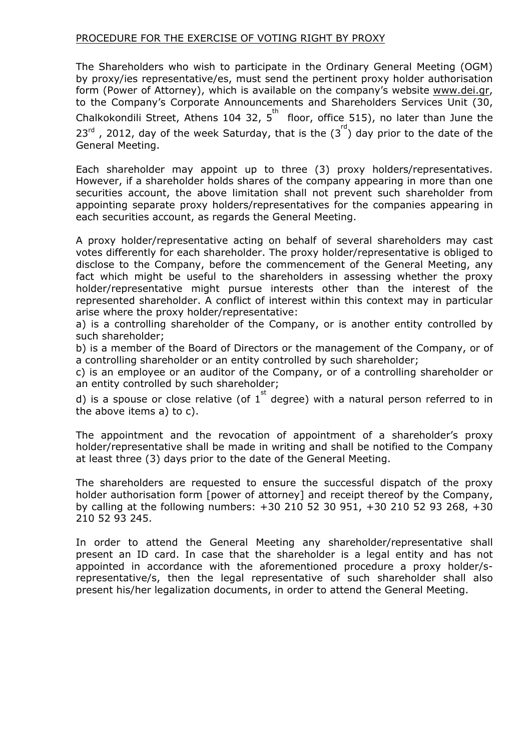## PROCEDURE FOR THE EXERCISE OF VOTING RIGHT BY PROXY

The Shareholders who wish to participate in the Ordinary General Meeting (OGM) by proxy/ies representative/es, must send the pertinent proxy holder authorisation form (Power of Attorney), which is available on the company's website [www.dei.gr,](http://www.dei.gr/) to the Company's Corporate Announcements and Shareholders Services Unit (30, Chalkokondili Street, Athens 104 32,  $5^{\text{th}}$  floor, office 515), no later than June the  $23^{rd}$  , 2012, day of the week Saturday, that is the  $(3^{rd})$  day prior to the date of the General Meeting.

Each shareholder may appoint up to three (3) proxy holders/representatives. However, if a shareholder holds shares of the company appearing in more than one securities account, the above limitation shall not prevent such shareholder from appointing separate proxy holders/representatives for the companies appearing in each securities account, as regards the General Meeting.

A proxy holder/representative acting on behalf of several shareholders may cast votes differently for each shareholder. The proxy holder/representative is obliged to disclose to the Company, before the commencement of the General Meeting, any fact which might be useful to the shareholders in assessing whether the proxy holder/representative might pursue interests other than the interest of the represented shareholder. A conflict of interest within this context may in particular arise where the proxy holder/representative:

a) is a controlling shareholder of the Company, or is another entity controlled by such shareholder;

b) is a member of the Board of Directors or the management of the Company, or of a controlling shareholder or an entity controlled by such shareholder;

c) is an employee or an auditor of the Company, or of a controlling shareholder or an entity controlled by such shareholder;

d) is a spouse or close relative (of  $1^{st}$  degree) with a natural person referred to in the above items a) to c).

The appointment and the revocation of appointment of a shareholder's proxy holder/representative shall be made in writing and shall be notified to the Company at least three (3) days prior to the date of the General Meeting.

The shareholders are requested to ensure the successful dispatch of the proxy holder authorisation form [power of attorney] and receipt thereof by the Company, by calling at the following numbers: +30 210 52 30 951, +30 210 52 93 268, +30 210 52 93 245.

In order to attend the General Meeting any shareholder/representative shall present an ID card. In case that the shareholder is a legal entity and has not appointed in accordance with the aforementioned procedure a proxy holder/srepresentative/s, then the legal representative of such shareholder shall also present his/her legalization documents, in order to attend the General Meeting.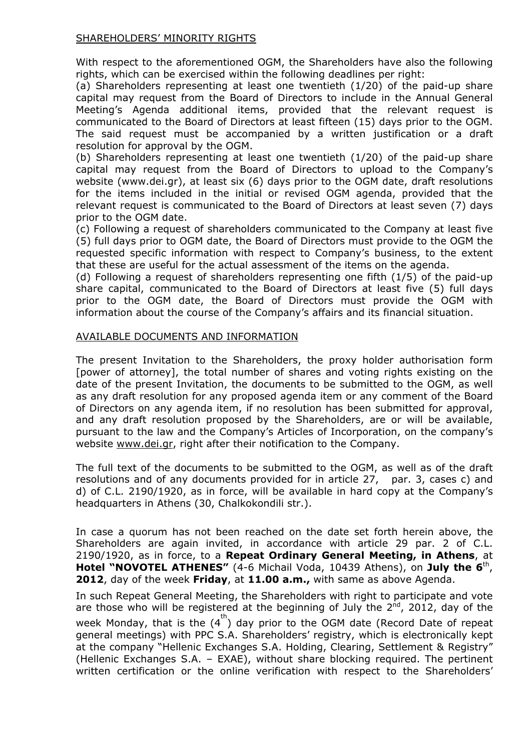## SHAREHOLDERS' MINORITY RIGHTS

With respect to the aforementioned OGM, the Shareholders have also the following rights, which can be exercised within the following deadlines per right:

(a) Shareholders representing at least one twentieth (1/20) of the paid-up share capital may request from the Board of Directors to include in the Annual General Meeting's Agenda additional items, provided that the relevant request is communicated to the Board of Directors at least fifteen (15) days prior to the OGM. The said request must be accompanied by a written justification or a draft resolution for approval by the OGM.

(b) Shareholders representing at least one twentieth (1/20) of the paid-up share capital may request from the Board of Directors to upload to the Company's website (www.dei.gr), at least six (6) days prior to the OGM date, draft resolutions for the items included in the initial or revised OGM agenda, provided that the relevant request is communicated to the Board of Directors at least seven (7) days prior to the OGM date.

(c) Following a request of shareholders communicated to the Company at least five (5) full days prior to OGM date, the Board of Directors must provide to the OGM the requested specific information with respect to Company's business, to the extent that these are useful for the actual assessment of the items on the agenda.

(d) Following a request of shareholders representing one fifth (1/5) of the paid-up share capital, communicated to the Board of Directors at least five (5) full days prior to the OGM date, the Board of Directors must provide the OGM with information about the course of the Company's affairs and its financial situation.

## AVAILABLE DOCUMENTS AND INFORMATION

The present Invitation to the Shareholders, the proxy holder authorisation form [power of attorney], the total number of shares and voting rights existing on the date of the present Invitation, the documents to be submitted to the OGM, as well as any draft resolution for any proposed agenda item or any comment of the Board of Directors on any agenda item, if no resolution has been submitted for approval, and any draft resolution proposed by the Shareholders, are or will be available, pursuant to the law and the Company's Articles of Incorporation, on the company's website [www.dei.gr,](http://www.dei.gr/) right after their notification to the Company.

The full text of the documents to be submitted to the OGM, as well as of the draft resolutions and of any documents provided for in article 27, par. 3, cases c) and d) of C.L. 2190/1920, as in force, will be available in hard copy at the Company's headquarters in Athens (30, Chalkokondili str.).

In case a quorum has not been reached on the date set forth herein above, the Shareholders are again invited, in accordance with article 29 par. 2 of C.L. 2190/1920, as in force, to a **Repeat Ordinary General Meeting, in Athens**, at **Hotel "NOVOTEL ATHENES"** (4-6 Michail Voda, 10439 Athens), on **July the 6**th, **2012**, day of the week **Friday**, at **11.00 a.m.,** with same as above Agenda.

In such Repeat General Meeting, the Shareholders with right to participate and vote are those who will be registered at the beginning of July the  $2^{nd}$ , 2012, day of the week Monday, that is the  $(4^{th})$  day prior to the OGM date (Record Date of repeat general meetings) with PPC S.A. Shareholders' registry, which is electronically kept at the company "Hellenic Exchanges S.A. Holding, Clearing, Settlement & Registry" (Hellenic Exchanges S.A. – EXAE), without share blocking required. The pertinent written certification or the online verification with respect to the Shareholders'